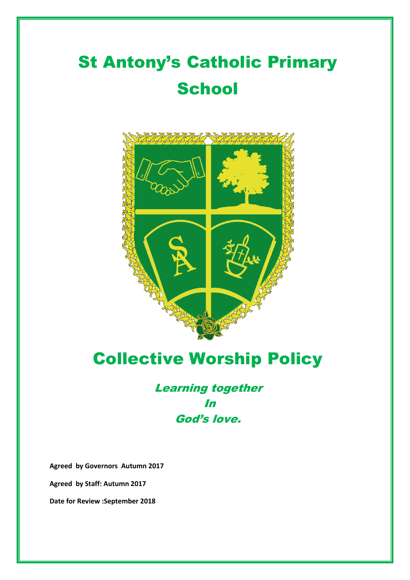# St Antony's Catholic Primary **School**



## Collective Worship Policy

### Learning together In God's love.

**Agreed by Governors Autumn 2017**

**Agreed by Staff: Autumn 2017**

**Date for Review :September 2018**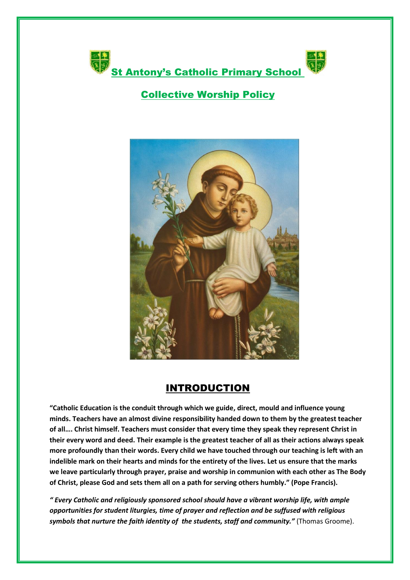

#### Collective Worship Policy



#### INTRODUCTION

**"Catholic Education is the conduit through which we guide, direct, mould and influence young minds. Teachers have an almost divine responsibility handed down to them by the greatest teacher of all…. Christ himself. Teachers must consider that every time they speak they represent Christ in their every word and deed. Their example is the greatest teacher of all as their actions always speak more profoundly than their words. Every child we have touched through our teaching is left with an indelible mark on their hearts and minds for the entirety of the lives. Let us ensure that the marks we leave particularly through prayer, praise and worship in communion with each other as The Body of Christ, please God and sets them all on a path for serving others humbly." (Pope Francis).**

*" Every Catholic and religiously sponsored school should have a vibrant worship life, with ample opportunities for student liturgies, time of prayer and reflection and be suffused with religious symbols that nurture the faith identity of the students, staff and community."* (Thomas Groome).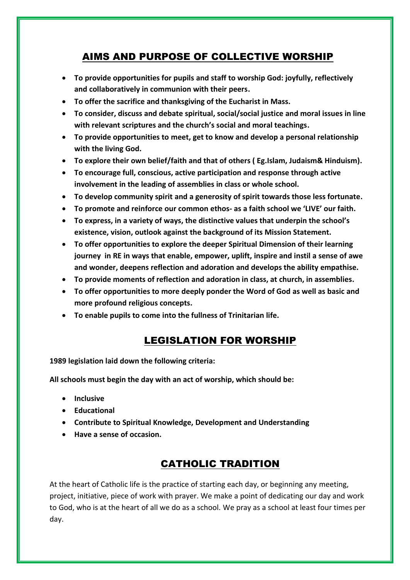#### AIMS AND PURPOSE OF COLLECTIVE WORSHIP

- **To provide opportunities for pupils and staff to worship God: joyfully, reflectively and collaboratively in communion with their peers.**
- **To offer the sacrifice and thanksgiving of the Eucharist in Mass.**
- **To consider, discuss and debate spiritual, social/social justice and moral issues in line with relevant scriptures and the church's social and moral teachings.**
- **To provide opportunities to meet, get to know and develop a personal relationship with the living God.**
- **To explore their own belief/faith and that of others ( Eg.Islam, Judaism& Hinduism).**
- **To encourage full, conscious, active participation and response through active involvement in the leading of assemblies in class or whole school.**
- **To develop community spirit and a generosity of spirit towards those less fortunate.**
- **To promote and reinforce our common ethos- as a faith school we 'LIVE' our faith.**
- **To express, in a variety of ways, the distinctive values that underpin the school's existence, vision, outlook against the background of its Mission Statement.**
- **To offer opportunities to explore the deeper Spiritual Dimension of their learning journey in RE in ways that enable, empower, uplift, inspire and instil a sense of awe and wonder, deepens reflection and adoration and develops the ability empathise.**
- **To provide moments of reflection and adoration in class, at church, in assemblies.**
- **To offer opportunities to more deeply ponder the Word of God as well as basic and more profound religious concepts.**
- **To enable pupils to come into the fullness of Trinitarian life.**

#### LEGISLATION FOR WORSHIP

**1989 legislation laid down the following criteria:**

**All schools must begin the day with an act of worship, which should be:**

- **Inclusive**
- **Educational**
- **Contribute to Spiritual Knowledge, Development and Understanding**
- **Have a sense of occasion.**

#### CATHOLIC TRADITION

At the heart of Catholic life is the practice of starting each day, or beginning any meeting, project, initiative, piece of work with prayer. We make a point of dedicating our day and work to God, who is at the heart of all we do as a school. We pray as a school at least four times per day.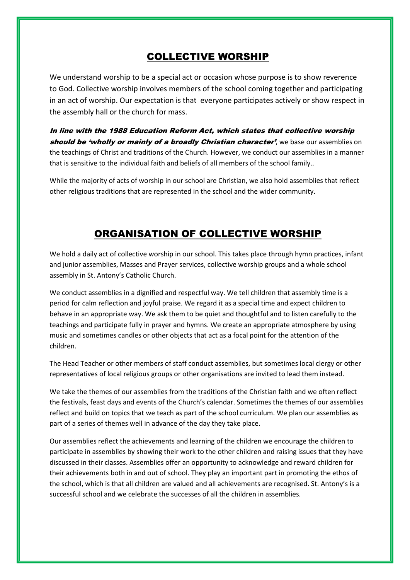#### COLLECTIVE WORSHIP

We understand worship to be a special act or occasion whose purpose is to show reverence to God. Collective worship involves members of the school coming together and participating in an act of worship. Our expectation is that everyone participates actively or show respect in the assembly hall or the church for mass.

In line with the 1988 Education Reform Act, which states that collective worship should be 'wholly or mainly of a broadly Christian character', we base our assemblies on the teachings of Christ and traditions of the Church. However, we conduct our assemblies in a manner that is sensitive to the individual faith and beliefs of all members of the school family..

While the majority of acts of worship in our school are Christian, we also hold assemblies that reflect other religious traditions that are represented in the school and the wider community.

#### ORGANISATION OF COLLECTIVE WORSHIP

We hold a daily act of collective worship in our school. This takes place through hymn practices, infant and junior assemblies, Masses and Prayer services, collective worship groups and a whole school assembly in St. Antony's Catholic Church.

We conduct assemblies in a dignified and respectful way. We tell children that assembly time is a period for calm reflection and joyful praise. We regard it as a special time and expect children to behave in an appropriate way. We ask them to be quiet and thoughtful and to listen carefully to the teachings and participate fully in prayer and hymns. We create an appropriate atmosphere by using music and sometimes candles or other objects that act as a focal point for the attention of the children.

The Head Teacher or other members of staff conduct assemblies, but sometimes local clergy or other representatives of local religious groups or other organisations are invited to lead them instead.

We take the themes of our assemblies from the traditions of the Christian faith and we often reflect the festivals, feast days and events of the Church's calendar. Sometimes the themes of our assemblies reflect and build on topics that we teach as part of the school curriculum. We plan our assemblies as part of a series of themes well in advance of the day they take place.

Our assemblies reflect the achievements and learning of the children we encourage the children to participate in assemblies by showing their work to the other children and raising issues that they have discussed in their classes. Assemblies offer an opportunity to acknowledge and reward children for their achievements both in and out of school. They play an important part in promoting the ethos of the school, which is that all children are valued and all achievements are recognised. St. Antony's is a successful school and we celebrate the successes of all the children in assemblies.